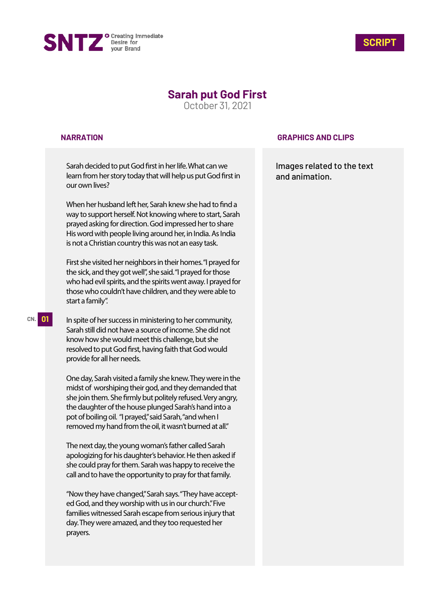



# **Sarah put God First**

October 31, 2021

#### **NARRATION**

Sarah decided to put God first in her life. What can we learn from her story today that will help us put God first in our own lives?

When her husband left her. Sarah knew she had to find a way to support herself. Not knowing where to start, Sarah prayed asking for direction. God impressed her to share His word with people living around her, in India. As India is not a Christian country this was not an easy task.

First she visited her neighbors in their homes. "I prayed for the sick, and they got well", she said. "I prayed for those who had evil spirits, and the spirits went away. I prayed for those who couldn't have children, and they were able to start a family".

In spite of her success in ministering to her community, Sarah still did not have a source of income. She did not know how she would meet this challenge, but she resolved to put God first, having faith that God would provide for all her needs.

One day, Sarah visited a family she knew. They were in the midst of worshiping their god, and they demanded that she join them. She firmly but politely refused. Very angry, the daughter of the house plunged Sarah's hand into a pot of boiling oil. "I prayed," said Sarah, "and when I removed my hand from the oil, it wasn't burned at all."

The next day, the young woman's father called Sarah apologizing for his daughter's behavior. He then asked if she could pray for them. Sarah was happy to receive the call and to have the opportunity to pray for that family.

"Now they have changed," Sarah says. "They have accepted God, and they worship with us in our church." Five families witnessed Sarah escape from serious injury that day. They were amazed, and they too requested her prayers.

### **GRAPHICS AND CLIPS**

Images related to the text and animation.